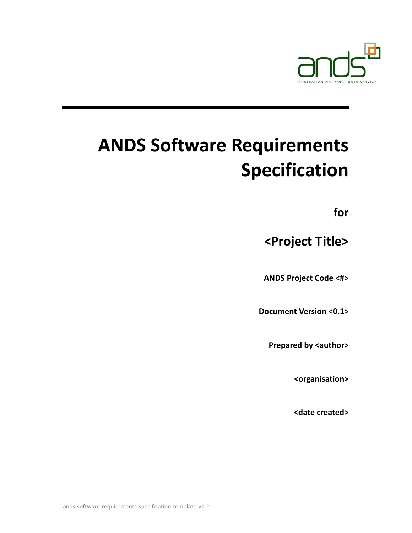

# **ANDS Software Requirements Specification**

**for**

**<Project Title>**

**ANDS Project Code <#>**

**Document Version <0.1>**

**Prepared by <author>** 

**<organisation>**

**<date created>**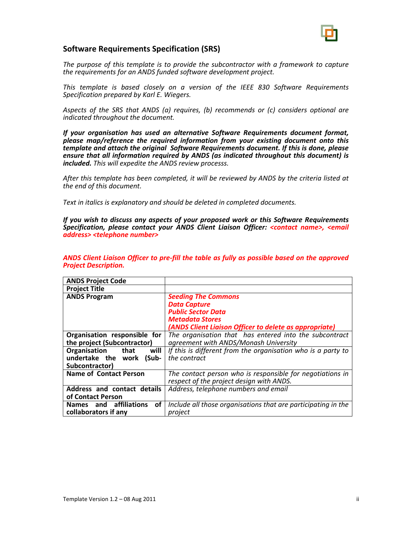

#### **Software Requirements Specification (SRS)**

*The purpose of this template is to provide the subcontractor with a framework to capture the requirements for an ANDS funded software development project.* 

*This template is based closely on a version of the IEEE 830 Software Requirements Specification prepared by Karl E. Wiegers.* 

*Aspects of the SRS that ANDS (a) requires, (b) recommends or (c) considers optional are indicated throughout the document.*

*If your organisation has used an alternative Software Requirements document format, please map/reference the required information from your existing document onto this template and attach the original Software Requirements document. If this is done, please ensure that all information required by ANDS (as indicated throughout this document) is included. This will expedite the ANDS review processs.*

*After this template has been completed, it will be reviewed by ANDS by the criteria listed at the end of this document.* 

*Text in italics is explanatory and should be deleted in completed documents.*

*If you wish to discuss any aspects of your proposed work or this Software Requirements Specification, please contact your ANDS Client Liaison Officer: <contact name>, <email address> <telephone number>*

| <b>ANDS Project Code</b>      |                                                               |  |  |  |  |  |  |  |  |
|-------------------------------|---------------------------------------------------------------|--|--|--|--|--|--|--|--|
| <b>Project Title</b>          |                                                               |  |  |  |  |  |  |  |  |
| <b>ANDS Program</b>           | <b>Seeding The Commons</b>                                    |  |  |  |  |  |  |  |  |
|                               | <b>Data Capture</b>                                           |  |  |  |  |  |  |  |  |
|                               | <b>Public Sector Data</b>                                     |  |  |  |  |  |  |  |  |
|                               | <b>Metadata Stores</b>                                        |  |  |  |  |  |  |  |  |
|                               | (ANDS Client Liaison Officer to delete as appropriate)        |  |  |  |  |  |  |  |  |
| Organisation responsible for  | The organisation that has entered into the subcontract        |  |  |  |  |  |  |  |  |
| the project (Subcontractor)   | agreement with ANDS/Monash University                         |  |  |  |  |  |  |  |  |
| Organisation<br>that<br>will  | If this is different from the organisation who is a party to  |  |  |  |  |  |  |  |  |
| undertake the work<br>(Sub-   | the contract                                                  |  |  |  |  |  |  |  |  |
| Subcontractor)                |                                                               |  |  |  |  |  |  |  |  |
| <b>Name of Contact Person</b> | The contact person who is responsible for negotiations in     |  |  |  |  |  |  |  |  |
|                               | respect of the project design with ANDS.                      |  |  |  |  |  |  |  |  |
| Address and contact details   | Address, telephone numbers and email                          |  |  |  |  |  |  |  |  |
| of Contact Person             |                                                               |  |  |  |  |  |  |  |  |
| Names and affiliations<br>of  | Include all those organisations that are participating in the |  |  |  |  |  |  |  |  |
| collaborators if any          | project                                                       |  |  |  |  |  |  |  |  |

*ANDS Client Liaison Officer to pre‐fill the table as fully as possible based on the approved Project Description.*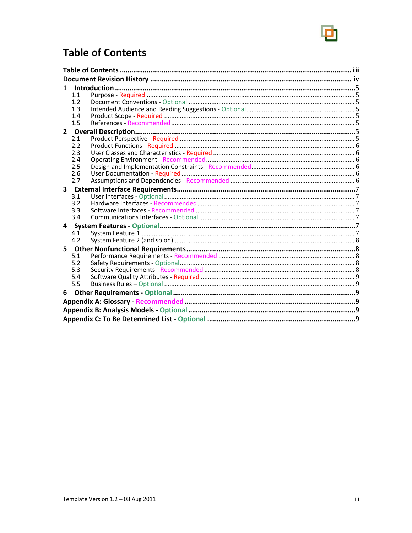

## **Table of Contents**

| 1 |     |  |  |  |  |  |  |  |
|---|-----|--|--|--|--|--|--|--|
|   | 1.1 |  |  |  |  |  |  |  |
|   | 1.2 |  |  |  |  |  |  |  |
|   | 1.3 |  |  |  |  |  |  |  |
|   | 1.4 |  |  |  |  |  |  |  |
|   | 1.5 |  |  |  |  |  |  |  |
|   |     |  |  |  |  |  |  |  |
|   | 2.1 |  |  |  |  |  |  |  |
|   | 2.2 |  |  |  |  |  |  |  |
|   | 2.3 |  |  |  |  |  |  |  |
|   | 2.4 |  |  |  |  |  |  |  |
|   | 2.5 |  |  |  |  |  |  |  |
|   | 2.6 |  |  |  |  |  |  |  |
|   | 2.7 |  |  |  |  |  |  |  |
|   |     |  |  |  |  |  |  |  |
|   | 3.1 |  |  |  |  |  |  |  |
|   | 3.2 |  |  |  |  |  |  |  |
|   | 3.3 |  |  |  |  |  |  |  |
|   | 3.4 |  |  |  |  |  |  |  |
| 4 |     |  |  |  |  |  |  |  |
|   | 4.1 |  |  |  |  |  |  |  |
|   | 4.2 |  |  |  |  |  |  |  |
| 5 |     |  |  |  |  |  |  |  |
|   | 5.1 |  |  |  |  |  |  |  |
|   | 5.2 |  |  |  |  |  |  |  |
|   | 5.3 |  |  |  |  |  |  |  |
|   | 5.4 |  |  |  |  |  |  |  |
|   | 5.5 |  |  |  |  |  |  |  |
| 6 |     |  |  |  |  |  |  |  |
|   |     |  |  |  |  |  |  |  |
|   |     |  |  |  |  |  |  |  |
|   |     |  |  |  |  |  |  |  |
|   |     |  |  |  |  |  |  |  |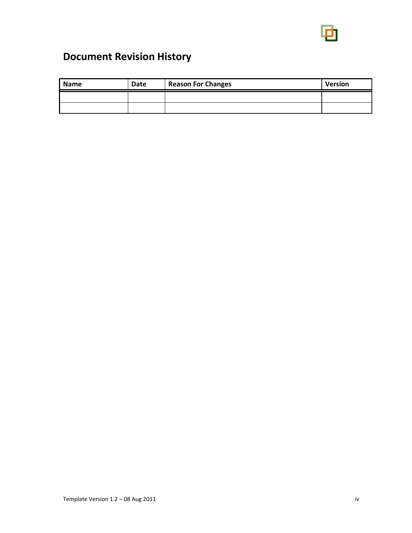

# **Document Revision History**

| <b>Name</b> | Date | <b>Reason For Changes</b> | <b>Version</b> |  |  |
|-------------|------|---------------------------|----------------|--|--|
|             |      |                           |                |  |  |
|             |      |                           |                |  |  |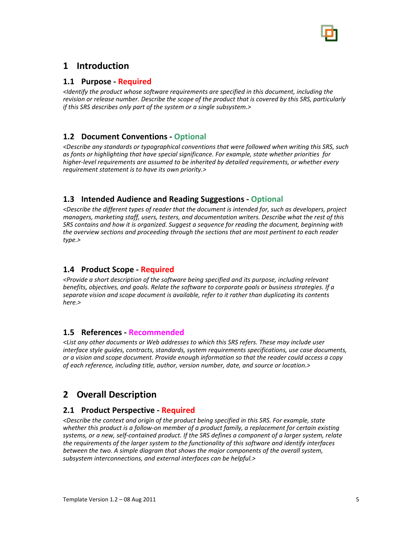

## **1 Introduction**

#### **1.1 Purpose ‐ Required**

*<Identify the product whose software requirements are specified in this document, including the revision or release number. Describe the scope of the product that is covered by this SRS, particularly if this SRS describes only part of the system or a single subsystem.>*

#### **1.2 Document Conventions ‐ Optional**

*<Describe any standards or typographical conventions that were followed when writing this SRS, such as fonts or highlighting that have special significance. For example, state whether priorities for higher‐level requirements are assumed to be inherited by detailed requirements, or whether every requirement statement is to have its own priority.>*

#### **1.3 Intended Audience and Reading Suggestions ‐ Optional**

*<Describe the different types of reader that the document is intended for, such as developers, project managers, marketing staff, users, testers, and documentation writers. Describe what the rest of this SRS contains and how it is organized. Suggest a sequence for reading the document, beginning with the overview sections and proceeding through the sections that are most pertinent to each reader type.>*

#### **1.4 Product Scope ‐ Required**

*<Provide a short description of the software being specified and its purpose, including relevant benefits, objectives, and goals. Relate the software to corporate goals or business strategies. If a separate vision and scope document is available, refer to it rather than duplicating its contents here.>*

#### **1.5 References ‐ Recommended**

*<List any other documents or Web addresses to which this SRS refers. These may include user interface style guides, contracts, standards, system requirements specifications, use case documents, or a vision and scope document. Provide enough information so that the reader could access a copy of each reference, including title, author, version number, date, and source or location.>*

## **2 Overall Description**

#### **2.1 Product Perspective ‐ Required**

*<Describe the context and origin of the product being specified in this SRS. For example, state whether this product is a follow‐on member of a product family, a replacement for certain existing* systems, or a new, self-contained product. If the SRS defines a component of a larger system, relate *the requirements of the larger system to the functionality of this software and identify interfaces between the two. A simple diagram that shows the major components of the overall system, subsystem interconnections, and external interfaces can be helpful.>*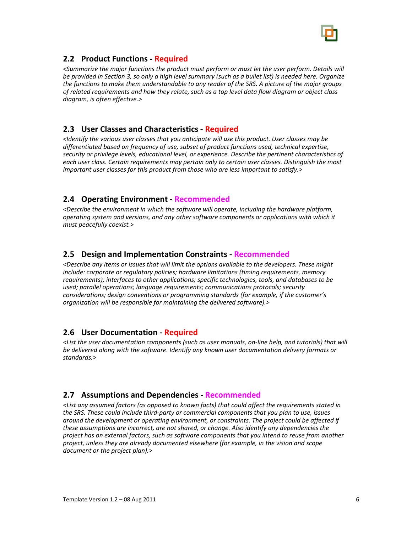

#### **2.2 Product Functions ‐ Required**

*<Summarize the major functions the product must perform or must let the user perform. Details will* be provided in Section 3, so only a high level summary (such as a bullet list) is needed here. Organize *the functions to make them understandable to any reader of the SRS. A picture of the major groups of related requirements and how they relate, such as a top level data flow diagram or object class diagram, is often effective.>*

#### **2.3 User Classes and Characteristics ‐ Required**

*<Identify the various user classes that you anticipate will use this product. User classes may be differentiated based on frequency of use, subset of product functions used, technical expertise, security or privilege levels, educational level, or experience. Describe the pertinent characteristics of each user class. Certain requirements may pertain only to certain user classes. Distinguish the most important user classes for this product from those who are less important to satisfy.>*

#### **2.4 Operating Environment ‐ Recommended**

*<Describe the environment in which the software will operate, including the hardware platform, operating system and versions, and any other software components or applications with which it must peacefully coexist.>*

#### **2.5 Design and Implementation Constraints ‐ Recommended**

*<Describe any items or issues that will limit the options available to the developers. These might include: corporate or regulatory policies; hardware limitations (timing requirements, memory requirements); interfaces to other applications; specific technologies, tools, and databases to be used; parallel operations; language requirements; communications protocols; security considerations; design conventions or programming standards (for example, if the customer's organization will be responsible for maintaining the delivered software).>*

#### **2.6 User Documentation ‐ Required**

*<List the user documentation components (such as user manuals, on‐line help, and tutorials) that will be delivered along with the software. Identify any known user documentation delivery formats or standards.>*

#### **2.7 Assumptions and Dependencies ‐ Recommended**

*<List any assumed factors (as opposed to known facts) that could affect the requirements stated in the SRS. These could include third‐party or commercial components that you plan to use, issues around the development or operating environment, or constraints. The project could be affected if these assumptions are incorrect, are not shared, or change. Also identify any dependencies the project has on external factors, such as software components that you intend to reuse from another project, unless they are already documented elsewhere (for example, in the vision and scope document or the project plan).>*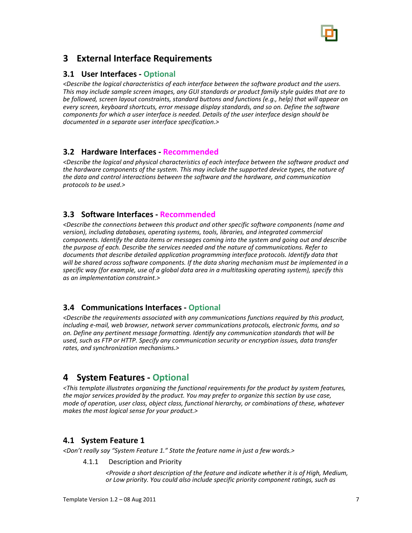

## **3 External Interface Requirements**

#### **3.1 User Interfaces ‐ Optional**

*<Describe the logical characteristics of each interface between the software product and the users. This may include sample screen images, any GUI standards or product family style guides that are to be followed, screen layout constraints, standard buttons and functions (e.g., help) that will appear on every screen, keyboard shortcuts, error message display standards, and so on. Define the software components for which a user interface is needed. Details of the user interface design should be documented in a separate user interface specification.>*

#### **3.2 Hardware Interfaces ‐ Recommended**

*<Describe the logical and physical characteristics of each interface between the software product and the hardware components of the system. This may include the supported device types, the nature of the data and control interactions between the software and the hardware, and communication protocols to be used.>*

#### **3.3 Software Interfaces ‐ Recommended**

*<Describe the connections between this product and other specific software components (name and version), including databases, operating systems, tools, libraries, and integrated commercial components. Identify the data items or messages coming into the system and going out and describe the purpose of each. Describe the services needed and the nature of communications. Refer to documents that describe detailed application programming interface protocols. Identify data that will be shared across software components. If the data sharing mechanism must be implemented in a specific way (for example, use of a global data area in a multitasking operating system), specify this as an implementation constraint.>*

#### **3.4 Communications Interfaces ‐ Optional**

*<Describe the requirements associated with any communications functions required by this product, including e‐mail, web browser, network server communications protocols, electronic forms, and so on. Define any pertinent message formatting. Identify any communication standards that will be used, such as FTP or HTTP. Specify any communication security or encryption issues, data transfer rates, and synchronization mechanisms.>*

## **4 System Features ‐ Optional**

*<This template illustrates organizing the functional requirements for the product by system features, the major services provided by the product. You may prefer to organize this section by use case, mode of operation, user class, object class, functional hierarchy, or combinations of these, whatever makes the most logical sense for your product.>*

#### **4.1 System Feature 1**

*<Don't really say "System Feature 1." State the feature name in just a few words.>*

4.1.1 Description and Priority

*<Provide a short description of the feature and indicate whether it is of High, Medium, or Low priority. You could also include specific priority component ratings, such as*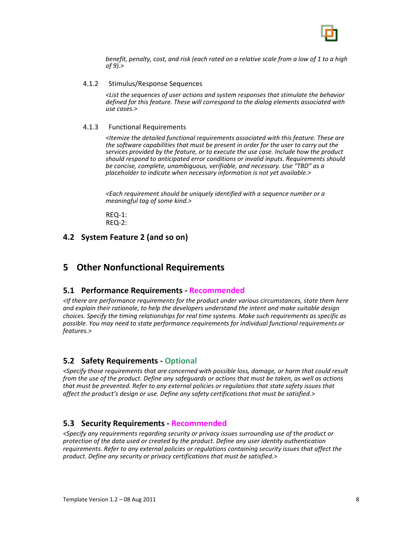

*benefit, penalty, cost, and risk (each rated on a relative scale from a low of 1 to a high of 9).>*

#### 4.1.2 Stimulus/Response Sequences

*<List the sequences of user actions and system responses that stimulate the behavior defined for this feature. These will correspond to the dialog elements associated with use cases.>*

#### 4.1.3 Functional Requirements

*<Itemize the detailed functional requirements associated with this feature. These are the software capabilities that must be present in order for the user to carry out the services provided by the feature, or to execute the use case. Include how the product should respond to anticipated error conditions or invalid inputs. Requirements should be concise, complete, unambiguous, verifiable, and necessary. Use "TBD" as a placeholder to indicate when necessary information is not yet available.>*

*<Each requirement should be uniquely identified with a sequence number or a meaningful tag of some kind.>*

REQ‐1: REQ‐2:

#### **4.2 System Feature 2 (and so on)**

### **5 Other Nonfunctional Requirements**

#### **5.1 Performance Requirements ‐ Recommended**

*<If there are performance requirements for the product under various circumstances, state them here and explain their rationale, to help the developers understand the intent and make suitable design choices. Specify the timing relationships for real time systems. Make such requirements as specific as possible. You may need to state performance requirements for individual functional requirements or features.>*

#### **5.2 Safety Requirements ‐ Optional**

*<Specify those requirements that are concerned with possible loss, damage, or harm that could result* from the use of the product. Define any safequards or actions that must be taken, as well as actions *that must be prevented. Refer to any external policies or regulations that state safety issues that affect the product's design or use. Define any safety certifications that must be satisfied.>*

#### **5.3 Security Requirements ‐ Recommended**

*<Specify any requirements regarding security or privacy issues surrounding use of the product or protection of the data used or created by the product. Define any user identity authentication requirements. Refer to any external policies or regulations containing security issues that affect the product. Define any security or privacy certifications that must be satisfied.>*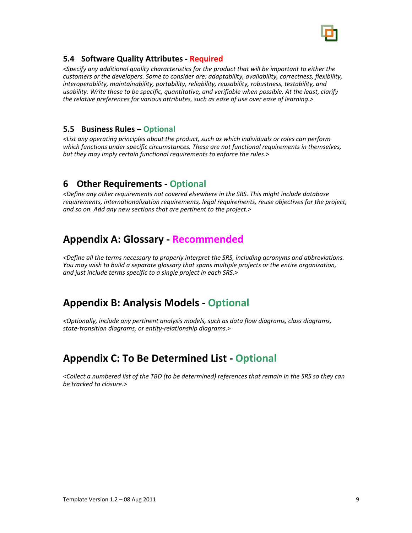

#### **5.4 Software Quality Attributes ‐ Required**

*<Specify any additional quality characteristics for the product that will be important to either the customers or the developers. Some to consider are: adaptability, availability, correctness, flexibility, interoperability, maintainability, portability, reliability, reusability, robustness, testability, and usability. Write these to be specific, quantitative, and verifiable when possible. At the least, clarify the relative preferences for various attributes, such as ease of use over ease of learning.>*

#### **5.5 Business Rules – Optional**

*<List any operating principles about the product, such as which individuals or roles can perform which functions under specific circumstances. These are not functional requirements in themselves, but they may imply certain functional requirements to enforce the rules.>*

## **6 Other Requirements ‐ Optional**

*<Define any other requirements not covered elsewhere in the SRS. This might include database requirements, internationalization requirements, legal requirements, reuse objectives for the project, and so on. Add any new sections that are pertinent to the project.>*

## **Appendix A: Glossary ‐ Recommended**

*<Define all the terms necessary to properly interpret the SRS, including acronyms and abbreviations. You may wish to build a separate glossary that spans multiple projects or the entire organization, and just include terms specific to a single project in each SRS.>*

## **Appendix B: Analysis Models ‐ Optional**

*<Optionally, include any pertinent analysis models, such as data flow diagrams, class diagrams, state‐transition diagrams, or entity‐relationship diagrams*.>

## **Appendix C: To Be Determined List ‐ Optional**

<Collect a numbered list of the TBD (to be determined) references that remain in the SRS so they can *be tracked to closure.>*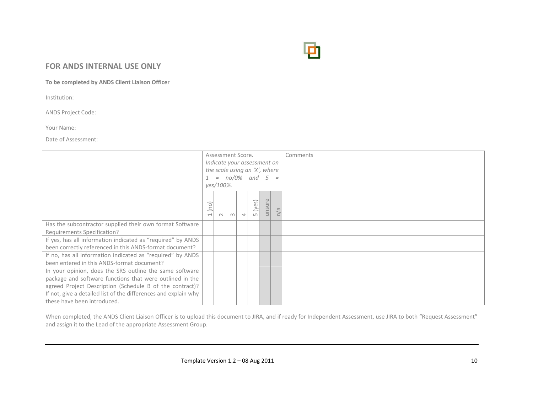

#### **FOR ANDS INTERNAL USE ONLY**

**To be completed by ANDS Client Liaison Officer**

Institution:

ANDS Project Code:

Your Name:

Date of Assessment:

|                                                                 | Assessment Score.                |        |   |                        |                              |        |                         | Comments |
|-----------------------------------------------------------------|----------------------------------|--------|---|------------------------|------------------------------|--------|-------------------------|----------|
|                                                                 | Indicate your assessment on      |        |   |                        |                              |        |                         |          |
|                                                                 | the scale using an 'X', where    |        |   |                        |                              |        |                         |          |
|                                                                 |                                  |        |   | $1 = no/0\%$ and $5 =$ |                              |        |                         |          |
|                                                                 | yes/100%.                        |        |   |                        |                              |        |                         |          |
|                                                                 | (no)<br>$\overline{\phantom{0}}$ | $\sim$ | ന | $\overline{ }$         | ( <i>yes</i> )<br>$\sqrt{2}$ | unsure | $\overline{\mathbb{C}}$ |          |
| Has the subcontractor supplied their own format Software        |                                  |        |   |                        |                              |        |                         |          |
| Requirements Specification?                                     |                                  |        |   |                        |                              |        |                         |          |
| If yes, has all information indicated as "required" by ANDS     |                                  |        |   |                        |                              |        |                         |          |
| been correctly referenced in this ANDS-format document?         |                                  |        |   |                        |                              |        |                         |          |
| If no, has all information indicated as "required" by ANDS      |                                  |        |   |                        |                              |        |                         |          |
| been entered in this ANDS-format document?                      |                                  |        |   |                        |                              |        |                         |          |
| In your opinion, does the SRS outline the same software         |                                  |        |   |                        |                              |        |                         |          |
| package and software functions that were outlined in the        |                                  |        |   |                        |                              |        |                         |          |
| agreed Project Description (Schedule B of the contract)?        |                                  |        |   |                        |                              |        |                         |          |
| If not, give a detailed list of the differences and explain why |                                  |        |   |                        |                              |        |                         |          |
| these have been introduced.                                     |                                  |        |   |                        |                              |        |                         |          |

When completed, the ANDS Client Liaison Officer is to upload this document to JIRA, and if ready for Independent Assessment, use JIRA to both "Request Assessment" and assign it to the Lead of the appropriate Assessment Group.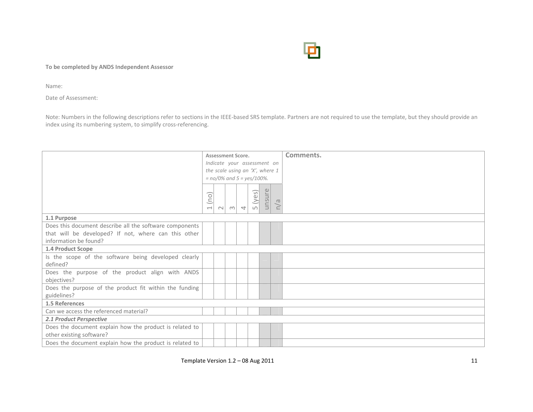

**To be completed by ANDS Independent Assessor**

Name:

Date of Assessment:

Note: Numbers in the following descriptions refer to sections in the IEEE‐based SRS template. Partners are not required to use the template, but they should provide an index using its numbering system, to simplify cross‐referencing.

|                                                         | <b>Assessment Score.</b> |        |                                 |                |                |        |           | Comments. |
|---------------------------------------------------------|--------------------------|--------|---------------------------------|----------------|----------------|--------|-----------|-----------|
|                                                         |                          |        | Indicate your assessment on     |                |                |        |           |           |
|                                                         |                          |        | the scale using an 'X', where 1 |                |                |        |           |           |
|                                                         |                          |        | $= no/0\%$ and $5 = yes/100\%.$ |                |                |        |           |           |
|                                                         |                          |        |                                 |                |                |        |           |           |
|                                                         |                          |        |                                 |                | ( <i>yes</i> ) | unsure |           |           |
|                                                         | (no)                     |        |                                 |                |                |        | $\sigma$  |           |
|                                                         | $\overline{\phantom{0}}$ | $\sim$ | m                               | $\overline{a}$ | $\sqrt{ }$     |        | $\subset$ |           |
| 1.1 Purpose                                             |                          |        |                                 |                |                |        |           |           |
| Does this document describe all the software components |                          |        |                                 |                |                |        |           |           |
| that will be developed? If not, where can this other    |                          |        |                                 |                |                |        |           |           |
| information be found?                                   |                          |        |                                 |                |                |        |           |           |
| 1.4 Product Scope                                       |                          |        |                                 |                |                |        |           |           |
| Is the scope of the software being developed clearly    |                          |        |                                 |                |                |        |           |           |
| defined?                                                |                          |        |                                 |                |                |        |           |           |
| Does the purpose of the product align with ANDS         |                          |        |                                 |                |                |        |           |           |
| objectives?                                             |                          |        |                                 |                |                |        |           |           |
| Does the purpose of the product fit within the funding  |                          |        |                                 |                |                |        |           |           |
| guidelines?                                             |                          |        |                                 |                |                |        |           |           |
| 1.5 References                                          |                          |        |                                 |                |                |        |           |           |
| Can we access the referenced material?                  |                          |        |                                 |                |                |        |           |           |
| 2.1 Product Perspective                                 |                          |        |                                 |                |                |        |           |           |
| Does the document explain how the product is related to |                          |        |                                 |                |                |        |           |           |
| other existing software?                                |                          |        |                                 |                |                |        |           |           |
| Does the document explain how the product is related to |                          |        |                                 |                |                |        |           |           |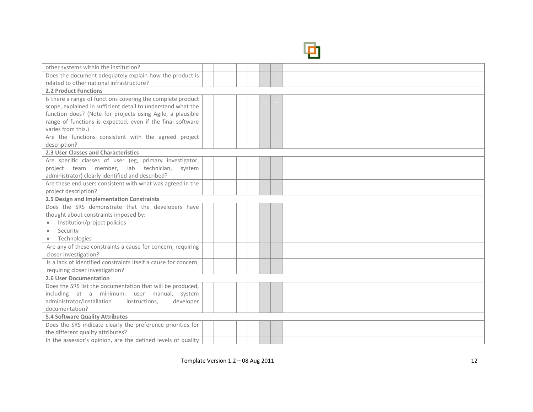

| other systems within the institution?                           |  |  |  |  |
|-----------------------------------------------------------------|--|--|--|--|
| Does the document adequately explain how the product is         |  |  |  |  |
| related to other national infrastructure?                       |  |  |  |  |
| <b>2.2 Product Functions</b>                                    |  |  |  |  |
| Is there a range of functions covering the complete product     |  |  |  |  |
| scope, explained in sufficient detail to understand what the    |  |  |  |  |
| function does? (Note for projects using Agile, a plausible      |  |  |  |  |
| range of functions is expected, even if the final software      |  |  |  |  |
| varies from this.)                                              |  |  |  |  |
| Are the functions consistent with the agreed project            |  |  |  |  |
| description?                                                    |  |  |  |  |
| 2.3 User Classes and Characteristics                            |  |  |  |  |
| Are specific classes of user (eg, primary investigator,         |  |  |  |  |
| project team member, lab technician, system                     |  |  |  |  |
| administrator) clearly identified and described?                |  |  |  |  |
| Are these end users consistent with what was agreed in the      |  |  |  |  |
| project description?                                            |  |  |  |  |
| 2.5 Design and Implementation Constraints                       |  |  |  |  |
| Does the SRS demonstrate that the developers have               |  |  |  |  |
| thought about constraints imposed by:                           |  |  |  |  |
| Institution/project policies<br>۰                               |  |  |  |  |
| Security<br>۰                                                   |  |  |  |  |
| Technologies                                                    |  |  |  |  |
| Are any of these constraints a cause for concern, requiring     |  |  |  |  |
| closer investigation?                                           |  |  |  |  |
| Is a lack of identified constraints itself a cause for concern, |  |  |  |  |
| requiring closer investigation?                                 |  |  |  |  |
| 2.6 User Documentation                                          |  |  |  |  |
| Does the SRS list the documentation that will be produced,      |  |  |  |  |
| including at a minimum: user manual, system                     |  |  |  |  |
| administrator/installation<br>instructions,<br>developer        |  |  |  |  |
| documentation?                                                  |  |  |  |  |
| <b>5.4 Software Quality Attributes</b>                          |  |  |  |  |
| Does the SRS indicate clearly the preference priorities for     |  |  |  |  |
| the different quality attributes?                               |  |  |  |  |
| In the assessor's opinion, are the defined levels of quality    |  |  |  |  |